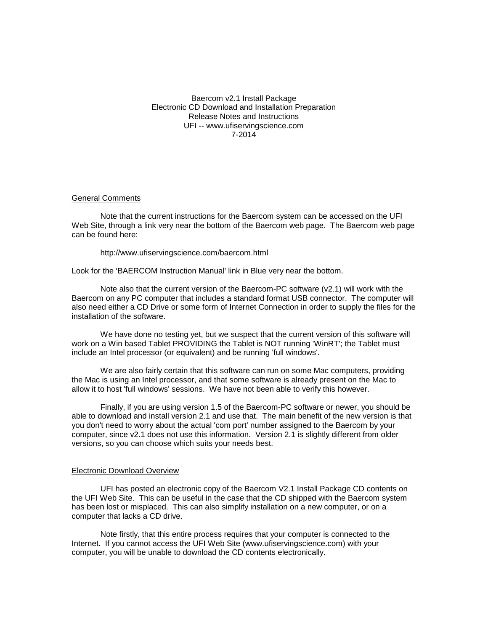Baercom v2.1 Install Package Electronic CD Download and Installation Preparation Release Notes and Instructions UFI -- www.ufiservingscience.com 7-2014

## General Comments

Note that the current instructions for the Baercom system can be accessed on the UFI Web Site, through a link very near the bottom of the Baercom web page. The Baercom web page can be found here:

http://www.ufiservingscience.com/baercom.html

Look for the 'BAERCOM Instruction Manual' link in Blue very near the bottom.

Note also that the current version of the Baercom-PC software (v2.1) will work with the Baercom on any PC computer that includes a standard format USB connector. The computer will also need either a CD Drive or some form of Internet Connection in order to supply the files for the installation of the software.

We have done no testing yet, but we suspect that the current version of this software will work on a Win based Tablet PROVIDING the Tablet is NOT running 'WinRT'; the Tablet must include an Intel processor (or equivalent) and be running 'full windows'.

We are also fairly certain that this software can run on some Mac computers, providing the Mac is using an Intel processor, and that some software is already present on the Mac to allow it to host 'full windows' sessions. We have not been able to verify this however.

Finally, if you are using version 1.5 of the Baercom-PC software or newer, you should be able to download and install version 2.1 and use that. The main benefit of the new version is that you don't need to worry about the actual 'com port' number assigned to the Baercom by your computer, since v2.1 does not use this information. Version 2.1 is slightly different from older versions, so you can choose which suits your needs best.

#### Electronic Download Overview

UFI has posted an electronic copy of the Baercom V2.1 Install Package CD contents on the UFI Web Site. This can be useful in the case that the CD shipped with the Baercom system has been lost or misplaced. This can also simplify installation on a new computer, or on a computer that lacks a CD drive.

Note firstly, that this entire process requires that your computer is connected to the Internet. If you cannot access the UFI Web Site (www.ufiservingscience.com) with your computer, you will be unable to download the CD contents electronically.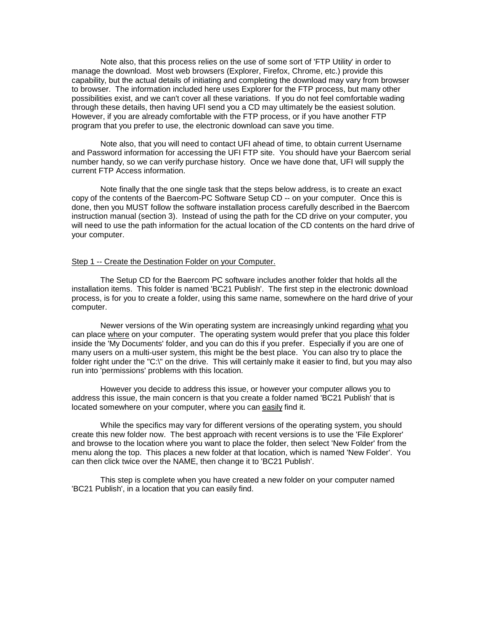Note also, that this process relies on the use of some sort of 'FTP Utility' in order to manage the download. Most web browsers (Explorer, Firefox, Chrome, etc.) provide this capability, but the actual details of initiating and completing the download may vary from browser to browser. The information included here uses Explorer for the FTP process, but many other possibilities exist, and we can't cover all these variations. If you do not feel comfortable wading through these details, then having UFI send you a CD may ultimately be the easiest solution. However, if you are already comfortable with the FTP process, or if you have another FTP program that you prefer to use, the electronic download can save you time.

Note also, that you will need to contact UFI ahead of time, to obtain current Username and Password information for accessing the UFI FTP site. You should have your Baercom serial number handy, so we can verify purchase history. Once we have done that, UFI will supply the current FTP Access information.

Note finally that the one single task that the steps below address, is to create an exact copy of the contents of the Baercom-PC Software Setup CD -- on your computer. Once this is done, then you MUST follow the software installation process carefully described in the Baercom instruction manual (section 3). Instead of using the path for the CD drive on your computer, you will need to use the path information for the actual location of the CD contents on the hard drive of your computer.

## Step 1 -- Create the Destination Folder on your Computer.

The Setup CD for the Baercom PC software includes another folder that holds all the installation items. This folder is named 'BC21 Publish'. The first step in the electronic download process, is for you to create a folder, using this same name, somewhere on the hard drive of your computer.

Newer versions of the Win operating system are increasingly unkind regarding what you can place where on your computer. The operating system would prefer that you place this folder inside the 'My Documents' folder, and you can do this if you prefer. Especially if you are one of many users on a multi-user system, this might be the best place. You can also try to place the folder right under the "C:\" on the drive. This will certainly make it easier to find, but you may also run into 'permissions' problems with this location.

However you decide to address this issue, or however your computer allows you to address this issue, the main concern is that you create a folder named 'BC21 Publish' that is located somewhere on your computer, where you can easily find it.

While the specifics may vary for different versions of the operating system, you should create this new folder now. The best approach with recent versions is to use the 'File Explorer' and browse to the location where you want to place the folder, then select 'New Folder' from the menu along the top. This places a new folder at that location, which is named 'New Folder'. You can then click twice over the NAME, then change it to 'BC21 Publish'.

This step is complete when you have created a new folder on your computer named 'BC21 Publish', in a location that you can easily find.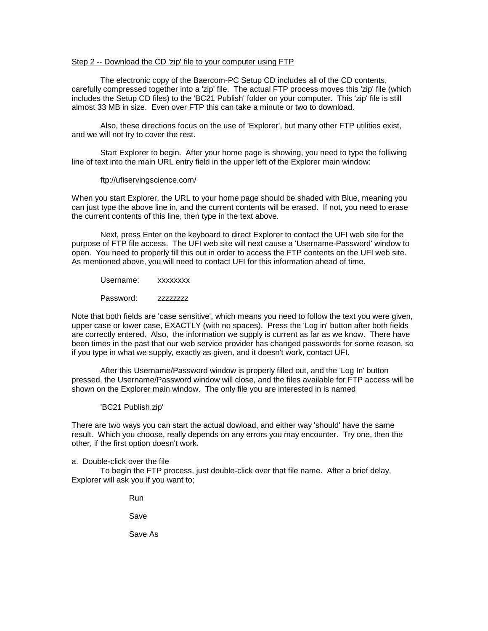## Step 2 -- Download the CD 'zip' file to your computer using FTP

The electronic copy of the Baercom-PC Setup CD includes all of the CD contents, carefully compressed together into a 'zip' file. The actual FTP process moves this 'zip' file (which includes the Setup CD files) to the 'BC21 Publish' folder on your computer. This 'zip' file is still almost 33 MB in size. Even over FTP this can take a minute or two to download.

Also, these directions focus on the use of 'Explorer', but many other FTP utilities exist, and we will not try to cover the rest.

Start Explorer to begin. After your home page is showing, you need to type the folliwing line of text into the main URL entry field in the upper left of the Explorer main window:

### ftp://ufiservingscience.com/

When you start Explorer, the URL to your home page should be shaded with Blue, meaning you can just type the above line in, and the current contents will be erased. If not, you need to erase the current contents of this line, then type in the text above.

Next, press Enter on the keyboard to direct Explorer to contact the UFI web site for the purpose of FTP file access. The UFI web site will next cause a 'Username-Password' window to open. You need to properly fill this out in order to access the FTP contents on the UFI web site. As mentioned above, you will need to contact UFI for this information ahead of time.

Username: xxxxxxxx

Password: zzzzzzzz

Note that both fields are 'case sensitive', which means you need to follow the text you were given, upper case or lower case, EXACTLY (with no spaces). Press the 'Log in' button after both fields are correctly entered. Also, the information we supply is current as far as we know. There have been times in the past that our web service provider has changed passwords for some reason, so if you type in what we supply, exactly as given, and it doesn't work, contact UFI.

After this Username/Password window is properly filled out, and the 'Log In' button pressed, the Username/Password window will close, and the files available for FTP access will be shown on the Explorer main window. The only file you are interested in is named

'BC21 Publish.zip'

There are two ways you can start the actual dowload, and either way 'should' have the same result. Which you choose, really depends on any errors you may encounter. Try one, then the other, if the first option doesn't work.

a. Double-click over the file

To begin the FTP process, just double-click over that file name. After a brief delay, Explorer will ask you if you want to;

Run

Save

Save As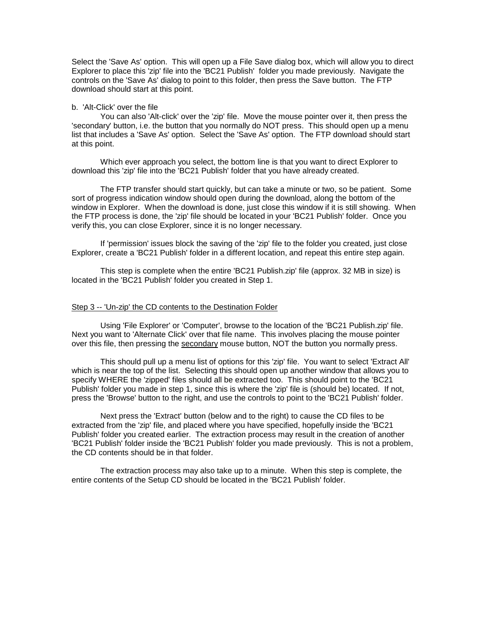Select the 'Save As' option. This will open up a File Save dialog box, which will allow you to direct Explorer to place this 'zip' file into the 'BC21 Publish' folder you made previously. Navigate the controls on the 'Save As' dialog to point to this folder, then press the Save button. The FTP download should start at this point.

#### b. 'Alt-Click' over the file

You can also 'Alt-click' over the 'zip' file. Move the mouse pointer over it, then press the 'secondary' button, i.e. the button that you normally do NOT press. This should open up a menu list that includes a 'Save As' option. Select the 'Save As' option. The FTP download should start at this point.

Which ever approach you select, the bottom line is that you want to direct Explorer to download this 'zip' file into the 'BC21 Publish' folder that you have already created.

The FTP transfer should start quickly, but can take a minute or two, so be patient. Some sort of progress indication window should open during the download, along the bottom of the window in Explorer. When the download is done, just close this window if it is still showing. When the FTP process is done, the 'zip' file should be located in your 'BC21 Publish' folder. Once you verify this, you can close Explorer, since it is no longer necessary.

If 'permission' issues block the saving of the 'zip' file to the folder you created, just close Explorer, create a 'BC21 Publish' folder in a different location, and repeat this entire step again.

This step is complete when the entire 'BC21 Publish.zip' file (approx. 32 MB in size) is located in the 'BC21 Publish' folder you created in Step 1.

### Step 3 -- 'Un-zip' the CD contents to the Destination Folder

Using 'File Explorer' or 'Computer', browse to the location of the 'BC21 Publish.zip' file. Next you want to 'Alternate Click' over that file name. This involves placing the mouse pointer over this file, then pressing the secondary mouse button, NOT the button you normally press.

This should pull up a menu list of options for this 'zip' file. You want to select 'Extract All' which is near the top of the list. Selecting this should open up another window that allows you to specify WHERE the 'zipped' files should all be extracted too. This should point to the 'BC21 Publish' folder you made in step 1, since this is where the 'zip' file is (should be) located. If not, press the 'Browse' button to the right, and use the controls to point to the 'BC21 Publish' folder.

Next press the 'Extract' button (below and to the right) to cause the CD files to be extracted from the 'zip' file, and placed where you have specified, hopefully inside the 'BC21 Publish' folder you created earlier. The extraction process may result in the creation of another 'BC21 Publish' folder inside the 'BC21 Publish' folder you made previously. This is not a problem, the CD contents should be in that folder.

The extraction process may also take up to a minute. When this step is complete, the entire contents of the Setup CD should be located in the 'BC21 Publish' folder.